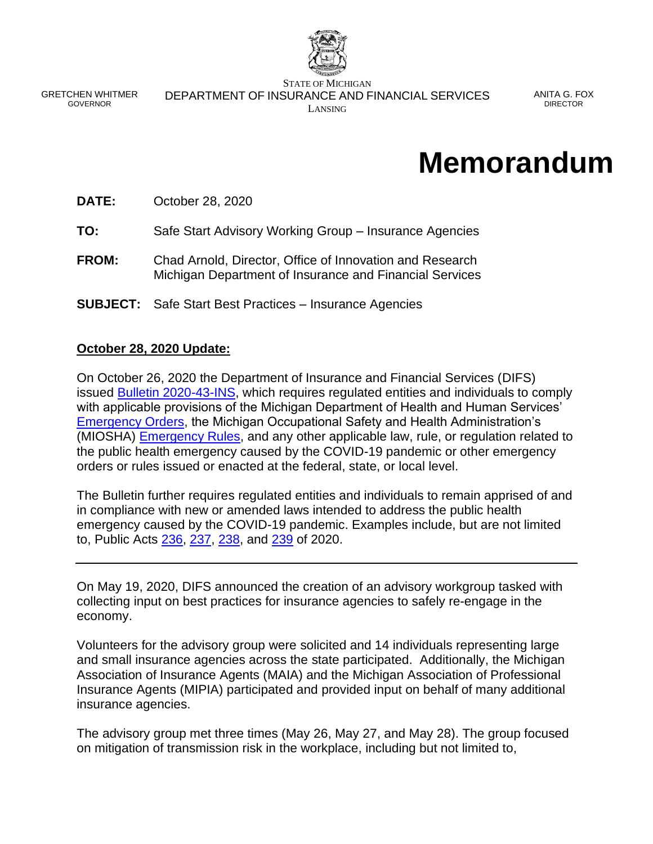

GRETCHEN WHITMER GOVERNOR

STATE OF MICHIGAN DEPARTMENT OF INSURANCE AND FINANCIAL SERVICES LANSING

ANITA G. FOX DIRECTOR

# **Memorandum**

**DATE:** October 28, 2020

**TO:** Safe Start Advisory Working Group – Insurance Agencies

- **FROM:** Chad Arnold, Director, Office of Innovation and Research Michigan Department of Insurance and Financial Services
- **SUBJECT:** Safe Start Best Practices Insurance Agencies

# **October 28, 2020 Update:**

On October 26, 2020 the Department of Insurance and Financial Services (DIFS) issued [Bulletin 2020-43-INS,](https://www.michigan.gov/documents/difs/Bulletin_2020-43-INS_706112_7.pdf) which requires regulated entities and individuals to comply with applicable provisions of the Michigan Department of Health and Human Services' [Emergency Orders,](https://www.michigan.gov/coronavirus/0,9753,7-406-98178_98455-533660--,00.html) the Michigan Occupational Safety and Health Administration's (MIOSHA) **Emergency Rules**, and any other applicable law, rule, or regulation related to the public health emergency caused by the COVID-19 pandemic or other emergency orders or rules issued or enacted at the federal, state, or local level.

The Bulletin further requires regulated entities and individuals to remain apprised of and in compliance with new or amended laws intended to address the public health emergency caused by the COVID-19 pandemic. Examples include, but are not limited to, Public Acts [236,](http://www.legislature.mi.gov/(S(4zydeuaglw0zhlcjqsyl1tnk))/mileg.aspx?page=getObject&objectName=2020-HB-6030) [237,](http://www.legislature.mi.gov/(S(4zydeuaglw0zhlcjqsyl1tnk))/mileg.aspx?page=getobject&objectname=2020-HB-6031) [238,](http://www.legislature.mi.gov/(S(4zydeuaglw0zhlcjqsyl1tnk))/mileg.aspx?page=getobject&objectname=2020-HB-6032) and [239](http://www.legislature.mi.gov/(S(4zydeuaglw0zhlcjqsyl1tnk))/mileg.aspx?page=getObject&objectname=2020-HB-6101) of 2020.

On May 19, 2020, DIFS announced the creation of an advisory workgroup tasked with collecting input on best practices for insurance agencies to safely re-engage in the economy.

Volunteers for the advisory group were solicited and 14 individuals representing large and small insurance agencies across the state participated. Additionally, the Michigan Association of Insurance Agents (MAIA) and the Michigan Association of Professional Insurance Agents (MIPIA) participated and provided input on behalf of many additional insurance agencies.

The advisory group met three times (May 26, May 27, and May 28). The group focused on mitigation of transmission risk in the workplace, including but not limited to,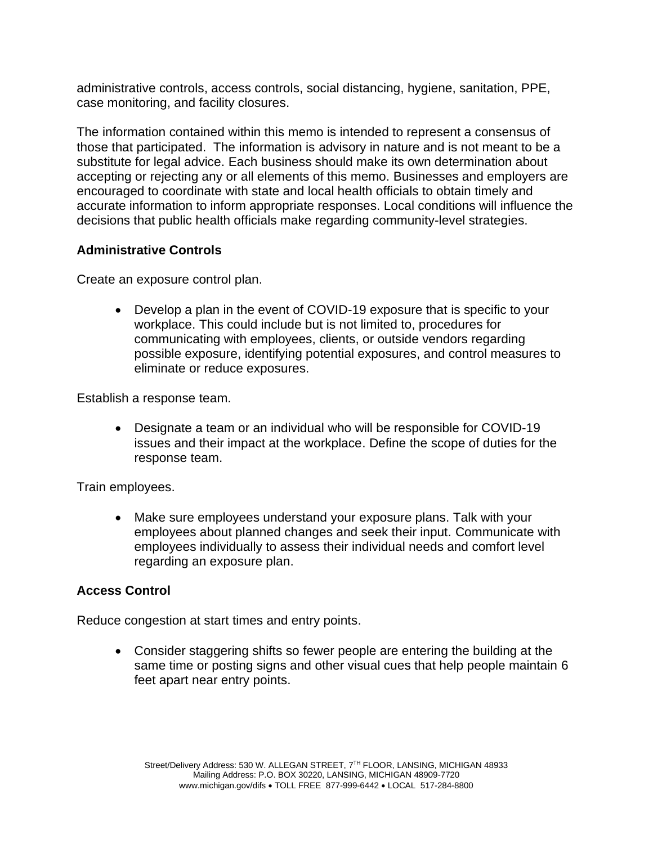administrative controls, access controls, social distancing, hygiene, sanitation, PPE, case monitoring, and facility closures.

The information contained within this memo is intended to represent a consensus of those that participated. The information is advisory in nature and is not meant to be a substitute for legal advice. Each business should make its own determination about accepting or rejecting any or all elements of this memo. Businesses and employers are encouraged to coordinate with state and local health officials to obtain timely and accurate information to inform appropriate responses. Local conditions will influence the decisions that public health officials make regarding community-level strategies.

#### **Administrative Controls**

Create an exposure control plan.

• Develop a plan in the event of COVID-19 exposure that is specific to your workplace. This could include but is not limited to, procedures for communicating with employees, clients, or outside vendors regarding possible exposure, identifying potential exposures, and control measures to eliminate or reduce exposures.

Establish a response team.

• Designate a team or an individual who will be responsible for COVID-19 issues and their impact at the workplace. Define the scope of duties for the response team.

Train employees.

• Make sure employees understand your exposure plans. Talk with your employees about planned changes and seek their input. Communicate with employees individually to assess their individual needs and comfort level regarding an exposure plan.

#### **Access Control**

Reduce congestion at start times and entry points.

• Consider staggering shifts so fewer people are entering the building at the same time or posting signs and other visual cues that help people maintain 6 feet apart near entry points.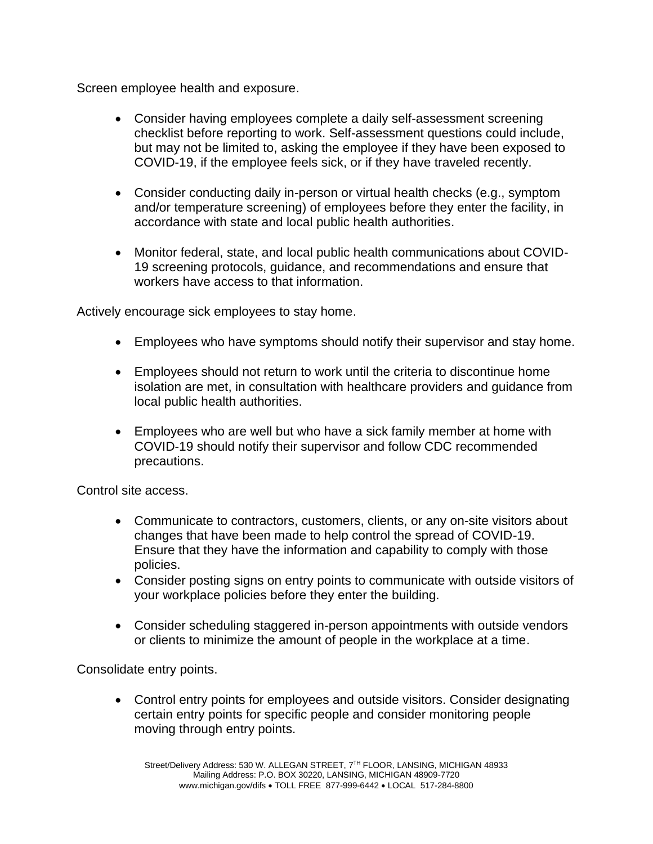Screen employee health and exposure.

- Consider having employees complete a daily self-assessment screening checklist before reporting to work. Self-assessment questions could include, but may not be limited to, asking the employee if they have been exposed to COVID-19, if the employee feels sick, or if they have traveled recently.
- Consider conducting daily in-person or virtual health checks (e.g., symptom and/or temperature screening) of employees before they enter the facility, in accordance with state and local public health authorities.
- Monitor federal, state, and local public health communications about COVID-19 screening protocols, guidance, and recommendations and ensure that workers have access to that information.

Actively encourage sick employees to stay home.

- Employees who have symptoms should notify their supervisor and stay home.
- Employees should not return to work until the criteria to discontinue home isolation are met, in consultation with healthcare providers and guidance from local public health authorities.
- Employees who are well but who have a sick family member at home with COVID-19 should notify their supervisor and follow CDC recommended precautions.

Control site access.

- Communicate to contractors, customers, clients, or any on-site visitors about changes that have been made to help control the spread of COVID-19. Ensure that they have the information and capability to comply with those policies.
- Consider posting signs on entry points to communicate with outside visitors of your workplace policies before they enter the building.
- Consider scheduling staggered in-person appointments with outside vendors or clients to minimize the amount of people in the workplace at a time.

Consolidate entry points.

• Control entry points for employees and outside visitors. Consider designating certain entry points for specific people and consider monitoring people moving through entry points.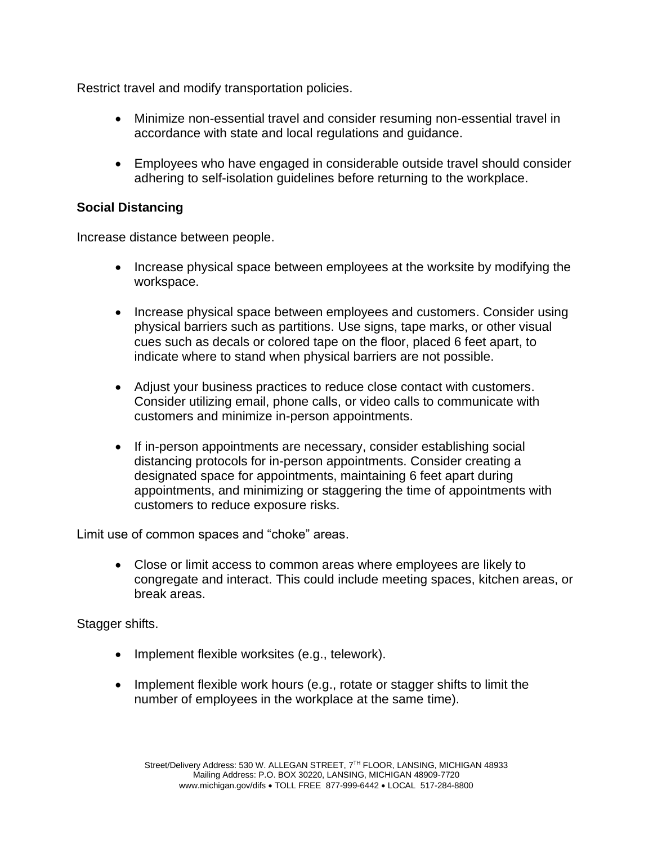Restrict travel and modify transportation policies.

- Minimize non-essential travel and consider resuming non-essential travel in accordance with state and local regulations and guidance.
- Employees who have engaged in considerable outside travel should consider adhering to self-isolation guidelines before returning to the workplace.

# **Social Distancing**

Increase distance between people.

- Increase physical space between employees at the worksite by modifying the workspace.
- Increase physical space between employees and customers. Consider using physical barriers such as partitions. Use signs, tape marks, or other visual cues such as decals or colored tape on the floor, placed 6 feet apart, to indicate where to stand when physical barriers are not possible.
- Adjust your business practices to reduce close contact with customers. Consider utilizing email, phone calls, or video calls to communicate with customers and minimize in-person appointments.
- If in-person appointments are necessary, consider establishing social distancing protocols for in-person appointments. Consider creating a designated space for appointments, maintaining 6 feet apart during appointments, and minimizing or staggering the time of appointments with customers to reduce exposure risks.

Limit use of common spaces and "choke" areas.

• Close or limit access to common areas where employees are likely to congregate and interact. This could include meeting spaces, kitchen areas, or break areas.

Stagger shifts.

- Implement flexible worksites (e.g., telework).
- Implement flexible work hours (e.g., rotate or stagger shifts to limit the number of employees in the workplace at the same time).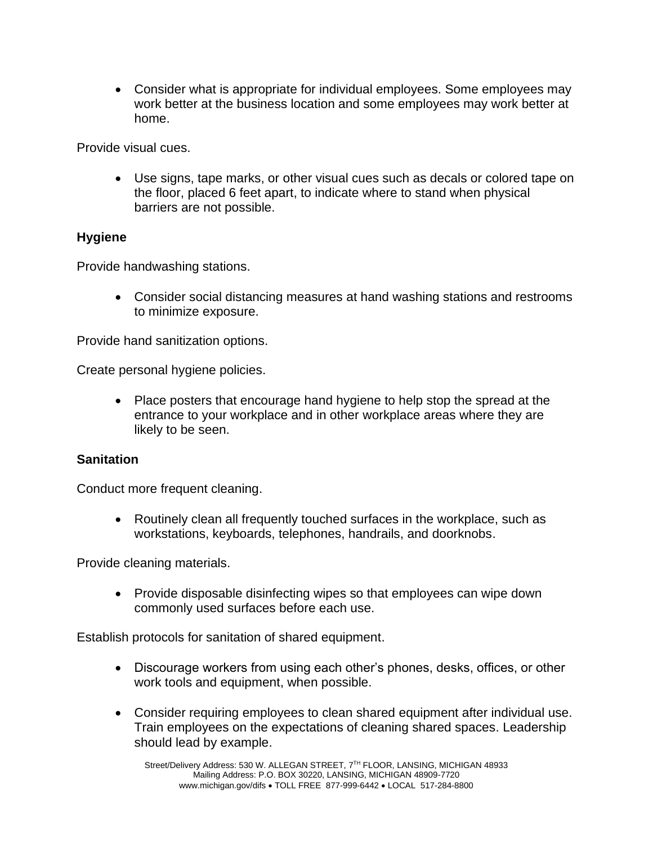• Consider what is appropriate for individual employees. Some employees may work better at the business location and some employees may work better at home.

Provide visual cues.

• Use signs, tape marks, or other visual cues such as decals or colored tape on the floor, placed 6 feet apart, to indicate where to stand when physical barriers are not possible.

#### **Hygiene**

Provide handwashing stations.

• Consider social distancing measures at hand washing stations and restrooms to minimize exposure.

Provide hand sanitization options.

Create personal hygiene policies.

• Place posters that encourage hand hygiene to help stop the spread at the entrance to your workplace and in other workplace areas where they are likely to be seen.

#### **Sanitation**

Conduct more frequent cleaning.

• Routinely clean all frequently touched surfaces in the workplace, such as workstations, keyboards, telephones, handrails, and doorknobs.

Provide cleaning materials.

• Provide disposable disinfecting wipes so that employees can wipe down commonly used surfaces before each use.

Establish protocols for sanitation of shared equipment.

- Discourage workers from using each other's phones, desks, offices, or other work tools and equipment, when possible.
- Consider requiring employees to clean shared equipment after individual use. Train employees on the expectations of cleaning shared spaces. Leadership should lead by example.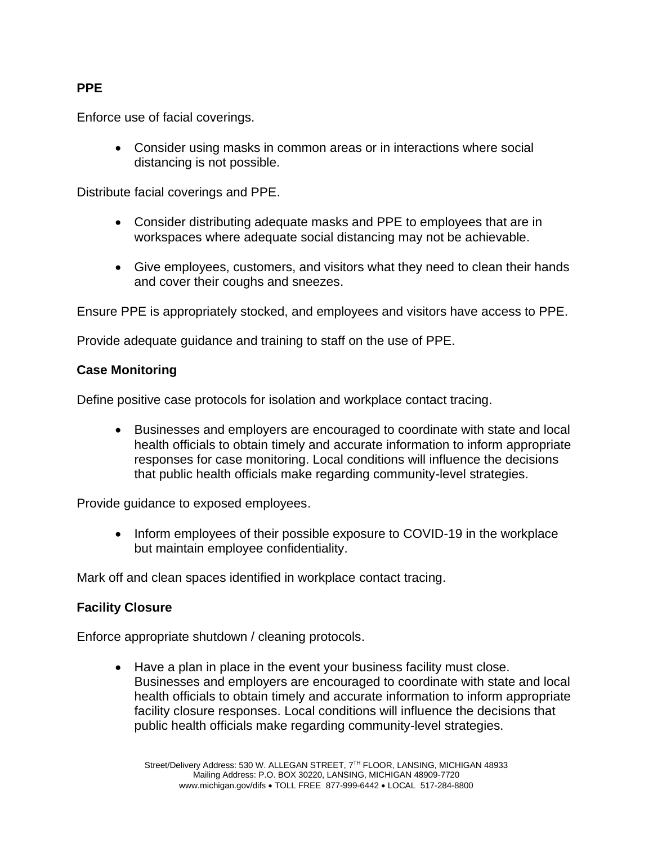# **PPE**

Enforce use of facial coverings.

• Consider using masks in common areas or in interactions where social distancing is not possible.

Distribute facial coverings and PPE.

- Consider distributing adequate masks and PPE to employees that are in workspaces where adequate social distancing may not be achievable.
- Give employees, customers, and visitors what they need to clean their hands and cover their coughs and sneezes.

Ensure PPE is appropriately stocked, and employees and visitors have access to PPE.

Provide adequate guidance and training to staff on the use of PPE.

# **Case Monitoring**

Define positive case protocols for isolation and workplace contact tracing.

• Businesses and employers are encouraged to coordinate with state and local health officials to obtain timely and accurate information to inform appropriate responses for case monitoring. Local conditions will influence the decisions that public health officials make regarding community-level strategies.

Provide guidance to exposed employees.

• Inform employees of their possible exposure to COVID-19 in the workplace but maintain employee confidentiality.

Mark off and clean spaces identified in workplace contact tracing.

# **Facility Closure**

Enforce appropriate shutdown / cleaning protocols.

• Have a plan in place in the event your business facility must close. Businesses and employers are encouraged to coordinate with state and local health officials to obtain timely and accurate information to inform appropriate facility closure responses. Local conditions will influence the decisions that public health officials make regarding community-level strategies.